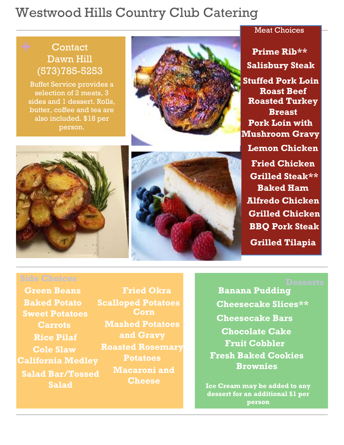# Westwood Hills Country Club Catering

## **Contact** Dawn Hill (573)785-5253

Buffet Service provides a selection of 2 meats, 3 sides and 1 dessert. Rolls, butter, coffee and tea are also included. \$18 per person.



**Salisbury Steak Prime Rib\*\* Stuffed Pork Loin Roast Beef Roasted Turkey Breast Pork Loin with Mushroom Gravy Lemon Chicken Fried Chicken Grilled Steak\*\* Baked Ham Alfredo Chicken Grilled Chicken BBQ Pork Steak**

**Grilled Tilapia**





**Banana Pudding Cheesecake Bars Cheesecake Slices\*\* Chocolate Cake Fresh Baked Cookies Brownies Fruit Cobbler**

**Ice Cream may be added to any dessert for an additional \$1 per person**

**Green Beans Fried Okra Sweet Potatoes Corn Rice Pilaf Cole Slaw California Medley Salad Bar/Tossed Salad**

**Baked Potato Scalloped Potatoes Carrots Mashed Potatoes and Gravy Roasted Rosemary Potatoes Macaroni and Cheese**

### Meat Choices